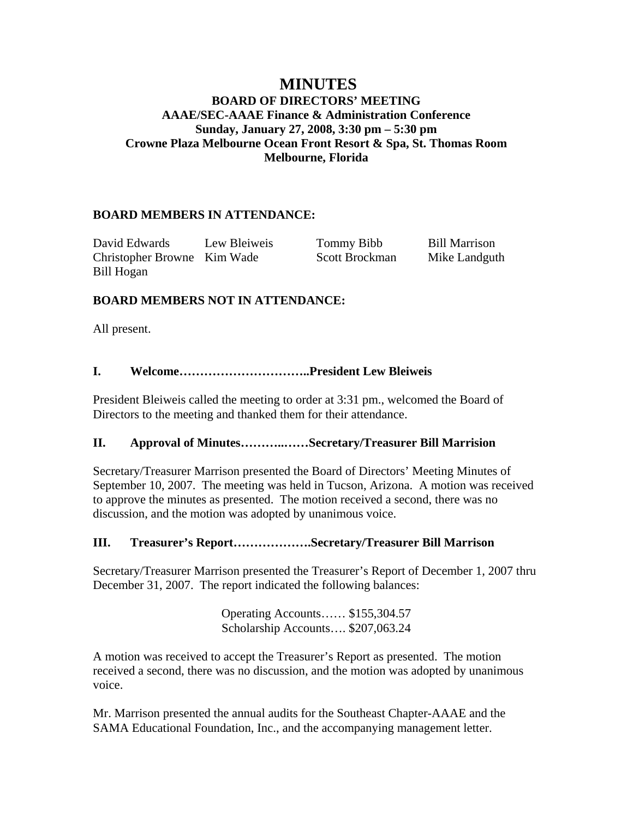## **MINUTES BOARD OF DIRECTORS' MEETING AAAE/SEC-AAAE Finance & Administration Conference Sunday, January 27, 2008, 3:30 pm – 5:30 pm Crowne Plaza Melbourne Ocean Front Resort & Spa, St. Thomas Room Melbourne, Florida**

## **BOARD MEMBERS IN ATTENDANCE:**

David Edwards Lew Bleiweis Tommy Bibb Bill Marrison Christopher Browne Kim Wade Scott Brockman Mike Landguth Bill Hogan

## **BOARD MEMBERS NOT IN ATTENDANCE:**

All present.

### **I. Welcome…………………………..President Lew Bleiweis**

President Bleiweis called the meeting to order at 3:31 pm., welcomed the Board of Directors to the meeting and thanked them for their attendance.

#### **II. Approval of Minutes………..……Secretary/Treasurer Bill Marrision**

Secretary/Treasurer Marrison presented the Board of Directors' Meeting Minutes of September 10, 2007. The meeting was held in Tucson, Arizona. A motion was received to approve the minutes as presented. The motion received a second, there was no discussion, and the motion was adopted by unanimous voice.

#### **III. Treasurer's Report……………….Secretary/Treasurer Bill Marrison**

Secretary/Treasurer Marrison presented the Treasurer's Report of December 1, 2007 thru December 31, 2007. The report indicated the following balances:

> Operating Accounts…… \$155,304.57 Scholarship Accounts…. \$207,063.24

A motion was received to accept the Treasurer's Report as presented. The motion received a second, there was no discussion, and the motion was adopted by unanimous voice.

Mr. Marrison presented the annual audits for the Southeast Chapter-AAAE and the SAMA Educational Foundation, Inc., and the accompanying management letter.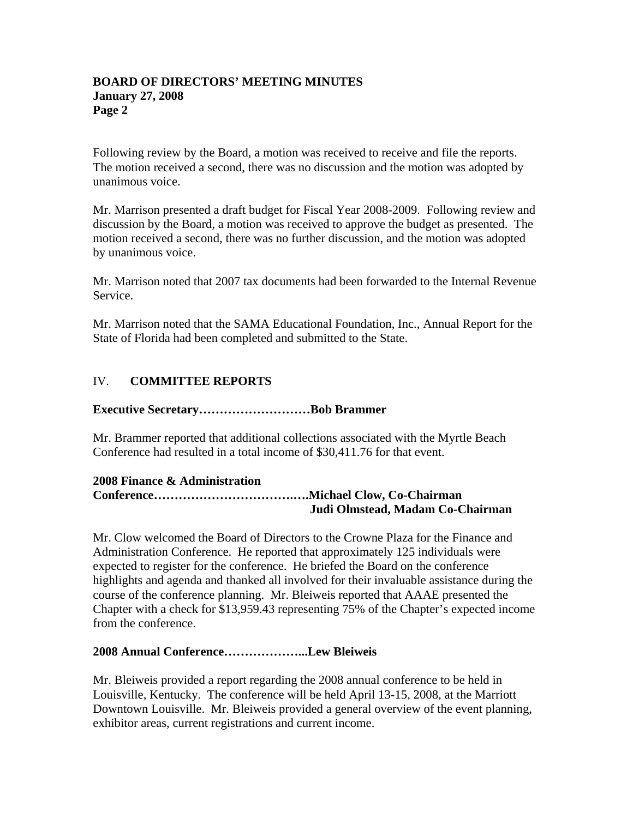Following review by the Board, a motion was received to receive and file the reports. The motion received a second, there was no discussion and the motion was adopted by unanimous voice.

Mr. Marrison presented a draft budget for Fiscal Year 2008-2009. Following review and discussion by the Board, a motion was received to approve the budget as presented. The motion received a second, there was no further discussion, and the motion was adopted by unanimous voice.

Mr. Marrison noted that 2007 tax documents had been forwarded to the Internal Revenue Service.

Mr. Marrison noted that the SAMA Educational Foundation, Inc., Annual Report for the State of Florida had been completed and submitted to the State.

# IV. **COMMITTEE REPORTS**

### **Executive Secretary………………………Bob Brammer**

Mr. Brammer reported that additional collections associated with the Myrtle Beach Conference had resulted in a total income of \$30,411.76 for that event.

#### **2008 Finance & Administration Conference…………………………….….Michael Clow, Co-Chairman Judi Olmstead, Madam Co-Chairman**

Mr. Clow welcomed the Board of Directors to the Crowne Plaza for the Finance and Administration Conference. He reported that approximately 125 individuals were expected to register for the conference. He briefed the Board on the conference highlights and agenda and thanked all involved for their invaluable assistance during the course of the conference planning. Mr. Bleiweis reported that AAAE presented the Chapter with a check for \$13,959.43 representing 75% of the Chapter's expected income from the conference.

#### **2008 Annual Conference………………...Lew Bleiweis**

Mr. Bleiweis provided a report regarding the 2008 annual conference to be held in Louisville, Kentucky. The conference will be held April 13-15, 2008, at the Marriott Downtown Louisville. Mr. Bleiweis provided a general overview of the event planning, exhibitor areas, current registrations and current income.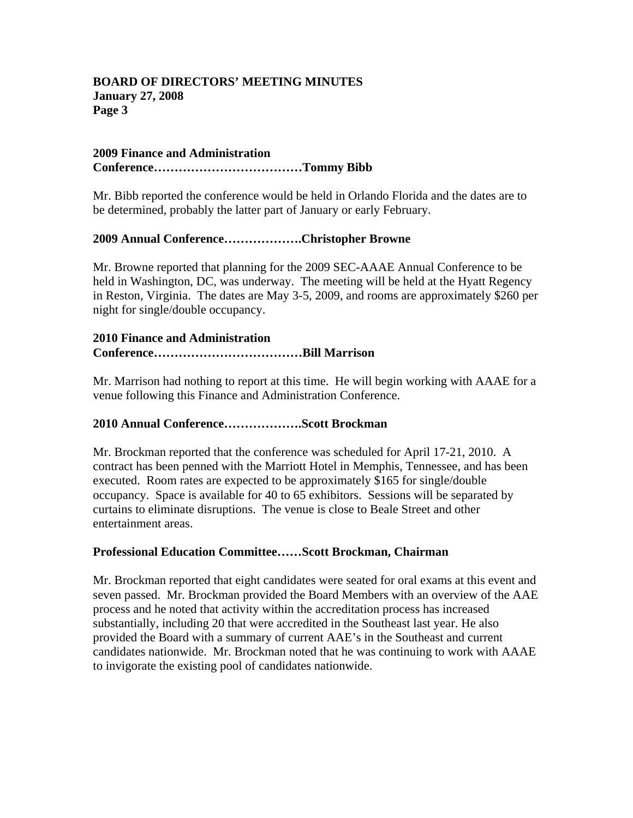#### **2009 Finance and Administration Conference………………………………Tommy Bibb**

Mr. Bibb reported the conference would be held in Orlando Florida and the dates are to be determined, probably the latter part of January or early February.

### **2009 Annual Conference……………….Christopher Browne**

Mr. Browne reported that planning for the 2009 SEC-AAAE Annual Conference to be held in Washington, DC, was underway. The meeting will be held at the Hyatt Regency in Reston, Virginia. The dates are May 3-5, 2009, and rooms are approximately \$260 per night for single/double occupancy.

#### **2010 Finance and Administration Conference………………………………Bill Marrison**

Mr. Marrison had nothing to report at this time. He will begin working with AAAE for a venue following this Finance and Administration Conference.

## **2010 Annual Conference……………….Scott Brockman**

Mr. Brockman reported that the conference was scheduled for April 17-21, 2010. A contract has been penned with the Marriott Hotel in Memphis, Tennessee, and has been executed. Room rates are expected to be approximately \$165 for single/double occupancy. Space is available for 40 to 65 exhibitors. Sessions will be separated by curtains to eliminate disruptions. The venue is close to Beale Street and other entertainment areas.

#### **Professional Education Committee……Scott Brockman, Chairman**

Mr. Brockman reported that eight candidates were seated for oral exams at this event and seven passed. Mr. Brockman provided the Board Members with an overview of the AAE process and he noted that activity within the accreditation process has increased substantially, including 20 that were accredited in the Southeast last year. He also provided the Board with a summary of current AAE's in the Southeast and current candidates nationwide. Mr. Brockman noted that he was continuing to work with AAAE to invigorate the existing pool of candidates nationwide.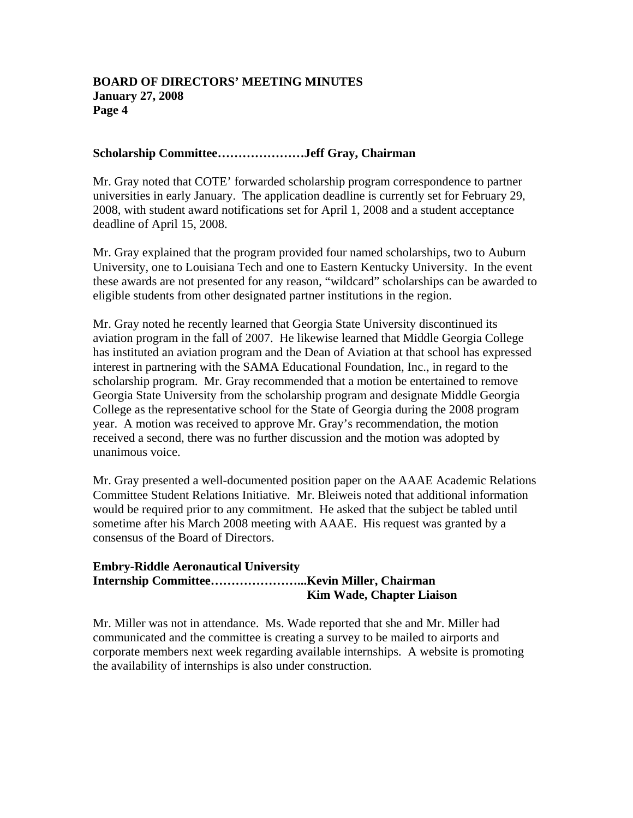### **Scholarship Committee…………………Jeff Gray, Chairman**

Mr. Gray noted that COTE' forwarded scholarship program correspondence to partner universities in early January. The application deadline is currently set for February 29, 2008, with student award notifications set for April 1, 2008 and a student acceptance deadline of April 15, 2008.

Mr. Gray explained that the program provided four named scholarships, two to Auburn University, one to Louisiana Tech and one to Eastern Kentucky University. In the event these awards are not presented for any reason, "wildcard" scholarships can be awarded to eligible students from other designated partner institutions in the region.

Mr. Gray noted he recently learned that Georgia State University discontinued its aviation program in the fall of 2007. He likewise learned that Middle Georgia College has instituted an aviation program and the Dean of Aviation at that school has expressed interest in partnering with the SAMA Educational Foundation, Inc., in regard to the scholarship program. Mr. Gray recommended that a motion be entertained to remove Georgia State University from the scholarship program and designate Middle Georgia College as the representative school for the State of Georgia during the 2008 program year. A motion was received to approve Mr. Gray's recommendation, the motion received a second, there was no further discussion and the motion was adopted by unanimous voice.

Mr. Gray presented a well-documented position paper on the AAAE Academic Relations Committee Student Relations Initiative. Mr. Bleiweis noted that additional information would be required prior to any commitment. He asked that the subject be tabled until sometime after his March 2008 meeting with AAAE. His request was granted by a consensus of the Board of Directors.

#### **Embry-Riddle Aeronautical University Internship Committee…………………...Kevin Miller, Chairman Kim Wade, Chapter Liaison**

Mr. Miller was not in attendance. Ms. Wade reported that she and Mr. Miller had communicated and the committee is creating a survey to be mailed to airports and corporate members next week regarding available internships. A website is promoting the availability of internships is also under construction.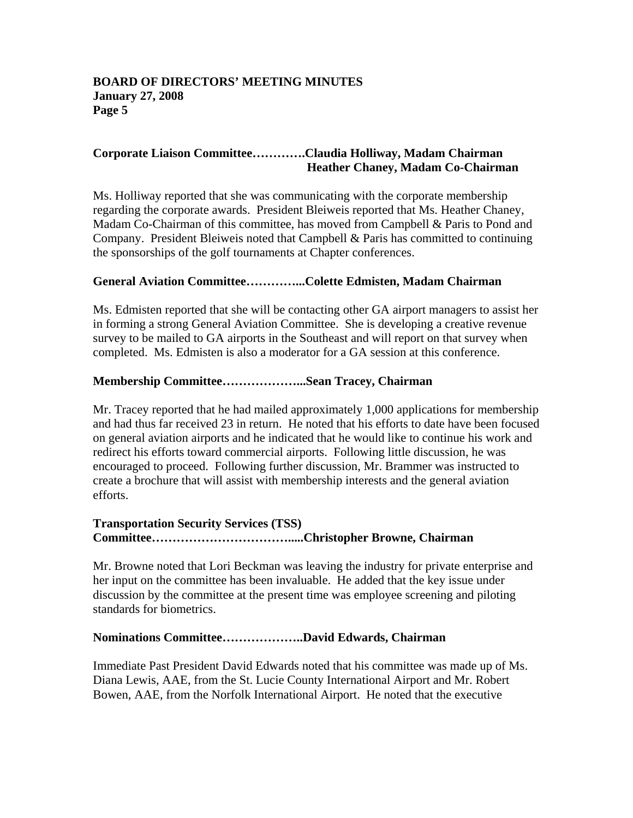### **Corporate Liaison Committee………….Claudia Holliway, Madam Chairman Heather Chaney, Madam Co-Chairman**

Ms. Holliway reported that she was communicating with the corporate membership regarding the corporate awards. President Bleiweis reported that Ms. Heather Chaney, Madam Co-Chairman of this committee, has moved from Campbell & Paris to Pond and Company. President Bleiweis noted that Campbell & Paris has committed to continuing the sponsorships of the golf tournaments at Chapter conferences.

### **General Aviation Committee…………...Colette Edmisten, Madam Chairman**

Ms. Edmisten reported that she will be contacting other GA airport managers to assist her in forming a strong General Aviation Committee. She is developing a creative revenue survey to be mailed to GA airports in the Southeast and will report on that survey when completed. Ms. Edmisten is also a moderator for a GA session at this conference.

#### **Membership Committee………………...Sean Tracey, Chairman**

Mr. Tracey reported that he had mailed approximately 1,000 applications for membership and had thus far received 23 in return. He noted that his efforts to date have been focused on general aviation airports and he indicated that he would like to continue his work and redirect his efforts toward commercial airports. Following little discussion, he was encouraged to proceed. Following further discussion, Mr. Brammer was instructed to create a brochure that will assist with membership interests and the general aviation efforts.

## **Transportation Security Services (TSS) Committee…………………………….....Christopher Browne, Chairman**

Mr. Browne noted that Lori Beckman was leaving the industry for private enterprise and her input on the committee has been invaluable. He added that the key issue under discussion by the committee at the present time was employee screening and piloting standards for biometrics.

#### **Nominations Committee………………..David Edwards, Chairman**

Immediate Past President David Edwards noted that his committee was made up of Ms. Diana Lewis, AAE, from the St. Lucie County International Airport and Mr. Robert Bowen, AAE, from the Norfolk International Airport. He noted that the executive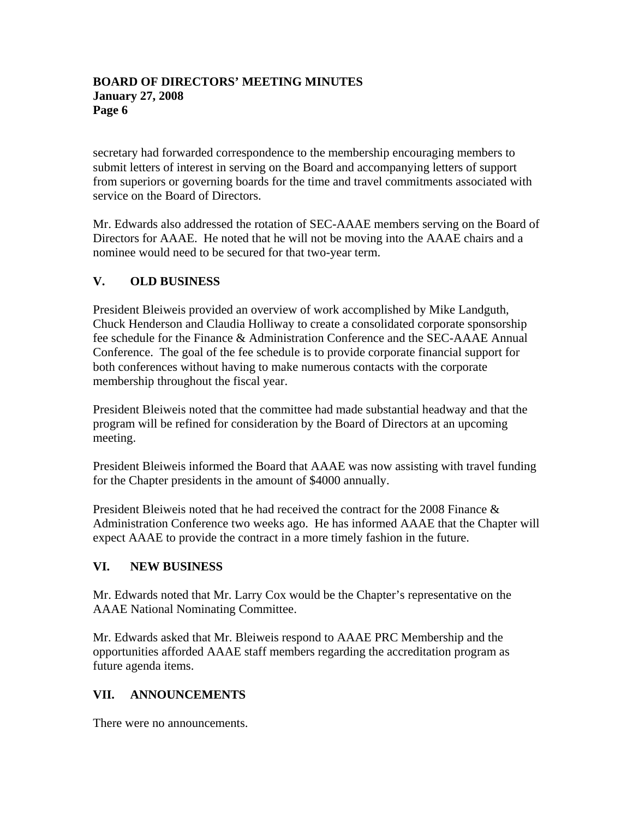secretary had forwarded correspondence to the membership encouraging members to submit letters of interest in serving on the Board and accompanying letters of support from superiors or governing boards for the time and travel commitments associated with service on the Board of Directors.

Mr. Edwards also addressed the rotation of SEC-AAAE members serving on the Board of Directors for AAAE. He noted that he will not be moving into the AAAE chairs and a nominee would need to be secured for that two-year term.

# **V. OLD BUSINESS**

President Bleiweis provided an overview of work accomplished by Mike Landguth, Chuck Henderson and Claudia Holliway to create a consolidated corporate sponsorship fee schedule for the Finance & Administration Conference and the SEC-AAAE Annual Conference. The goal of the fee schedule is to provide corporate financial support for both conferences without having to make numerous contacts with the corporate membership throughout the fiscal year.

President Bleiweis noted that the committee had made substantial headway and that the program will be refined for consideration by the Board of Directors at an upcoming meeting.

President Bleiweis informed the Board that AAAE was now assisting with travel funding for the Chapter presidents in the amount of \$4000 annually.

President Bleiweis noted that he had received the contract for the 2008 Finance  $\&$ Administration Conference two weeks ago. He has informed AAAE that the Chapter will expect AAAE to provide the contract in a more timely fashion in the future.

## **VI. NEW BUSINESS**

Mr. Edwards noted that Mr. Larry Cox would be the Chapter's representative on the AAAE National Nominating Committee.

Mr. Edwards asked that Mr. Bleiweis respond to AAAE PRC Membership and the opportunities afforded AAAE staff members regarding the accreditation program as future agenda items.

# **VII. ANNOUNCEMENTS**

There were no announcements.